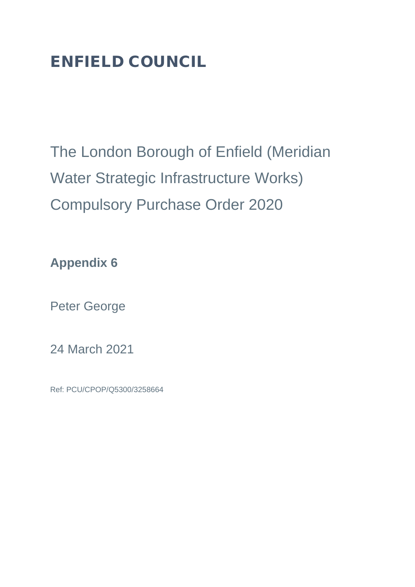## ENFIELD COUNCIL

The London Borough of Enfield (Meridian Water Strategic Infrastructure Works) Compulsory Purchase Order 2020

**Appendix 6**

Peter George

24 March 2021

Ref: PCU/CPOP/Q5300/3258664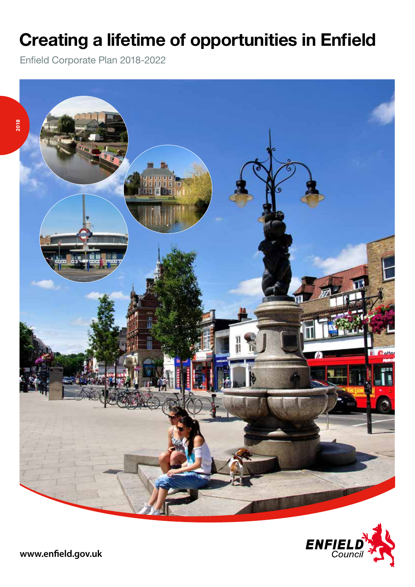## **Creating a lifetime of opportunities in Enfield**

Enfield Corporate Plan 2018-2022



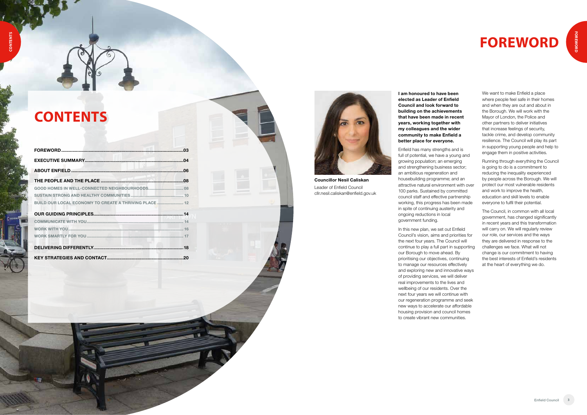## **CONTENTS**

| BUILD OUR LOCAL ECONOMY TO CREATE A THRIVING PLACE 12 |  |
|-------------------------------------------------------|--|
|                                                       |  |
|                                                       |  |
|                                                       |  |
|                                                       |  |
|                                                       |  |
|                                                       |  |



# **FOREWORD**

**I am honoured to have been elected as Leader of Enfield Council and look forward to building on the achievements that have been made in recent years, working together with my colleagues and the wider community to make Enfield a better place for everyone.** 

Enfield has many strengths and is full of potential, we have a young and growing population; an emerging and strengthening business sector; an ambitious regeneration and housebuilding programme; and an attractive natural environment with over 100 parks. Sustained by committed council staff and effective partnership working, this progress has been made in spite of continuing austerity and ongoing reductions in local government funding.

In this new plan, we set out Enfield Council's vision, aims and priorities for the next four years. The Council will continue to play a full part in supporting our Borough to move ahead. By prioritising our objectives, continuing to manage our resources effectively and exploring new and innovative ways of providing services, we will deliver real improvements to the lives and wellbeing of our residents. Over the next four years we will continue with our regeneration programme and seek new ways to accelerate our affordable housing provision and council homes to create vibrant new communities.

We want to make Enfield a place where people feel safe in their homes and when they are out and about in the Borough. We will work with the Mayor of London, the Police and other partners to deliver initiatives that increase feelings of security, tackle crime, and develop community resilience. The Council will play its part in supporting young people and help to engage them in positive activities.

Running through everything the Council is going to do is a commitment to reducing the inequality experienced by people across the Borough. We will protect our most vulnerable residents and work to improve the health, education and skill levels to enable everyone to fulfil their potential.

The Council, in common with all local government, has changed significantly in recent years and this transformation will carry on. We will regularly review our role, our services and the ways they are delivered in response to the challenges we face. What will not change is our commitment to having the best interests of Enfield's residents at the heart of everything we do.

**Councillor Nesil Caliskan** Leader of Enfield Council cllr.nesil.caliskan@enfield.gov.uk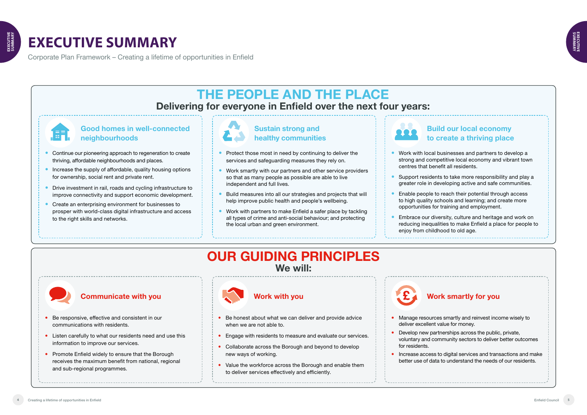Corporate Plan Framework – Creating a lifetime of opportunities in Enfield **CALCE A CONSERVERTIES IN ENTIELD**<br>CREATING A LIFETIME OF OPPORTUNITIES IN ENTIELD

## **EXECUTIVE SUMMARY ENFIELD CORPORATE PLAN 2018-2022**



### **Communicate with you**

### **Good homes in well-connected neighbourhoods**

### **Work with you**

### **Build our local economy to create a thriving place**

- Continue our pioneering approach to regeneration to create thriving, affordable neighbourhoods and places.
- Increase the supply of affordable, quality housing options for ownership, social rent and private rent.
- Drive investment in rail, roads and cycling infrastructure to improve connectivity and support economic development.
- Create an enterprising environment for businesses to prosper with world-class digital infrastructure and access to the right skills and networks.

### **Work smartly for you**

- Be responsive, effective and consistent in our communications with residents.
- Listen carefully to what our residents need and use this information to improve our services.
- Promote Enfield widely to ensure that the Borough receives the maximum benefit from national, regional and sub-regional programmes.



- Be honest about what we can deliver and provide advice when we are not able to.
- Engage with residents to measure and evaluate our services.
- Collaborate across the Borough and beyond to develop new ways of working.
- Value the workforce across the Borough and enable them to deliver services effectively and efficiently.



 Work with local businesses and partners to develop a strong and competitive local economy and vibrant town

 Support residents to take more responsibility and play a greater role in developing active and safe communities.

- centres that benefit all residents.
- 
- 
- enjoy from childhood to old age.

 Enable people to reach their potential through access to high quality schools and learning; and create more opportunities for training and employment.

 Embrace our diversity, culture and heritage and work on reducing inequalities to make Enfield a place for people to

Manage resources smartly and reinvest income wisely to

- deliver excellent value for money.
- for residents.
- 

 Develop new partnerships across the public, private, voluntary and community sectors to deliver better outcomes

 Increase access to digital services and transactions and make better use of data to understand the needs of our residents.

## **OUR GUIDING PRINCIPLES We will:**



## **THE PEOPLE AND THE PLACE Delivering for everyone in Enfield over the next four years:**



### **Sustain strong and healthy communities**

- Protect those most in need by continuing to deliver the services and safeguarding measures they rely on.
- Work smartly with our partners and other service providers so that as many people as possible are able to live independent and full lives.
- Build measures into all our strategies and projects that will help improve public health and people's wellbeing.
- Work with partners to make Enfield a safer place by tackling all types of crime and anti-social behaviour; and protecting the local urban and green environment.

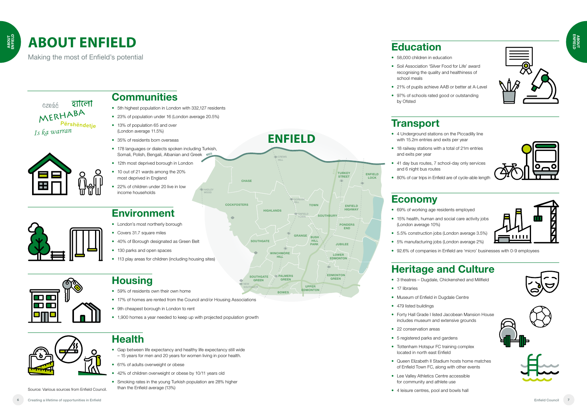## **ABOUT ENFIELD**





Source: Various sources from Enfield Council.





- 
- 



- 
- 
- 
- 
- 

- 
- 







## **Communities**

- 5th highest population in London with 332,127 residents
- 23% of population under 16 (London average 20.5%)
- 13% of population 65 and over (London average 11.5%)
- 35% of residents born overseas
- 178 languages or dialects spoken including Turkish, Somali, Polish, Bengali, Albanian and Greek M25
- 12th most deprived borough in London
- 10 out of 21 wards among the 20% most deprived in England
- 22% of children under 20 live in low income households

- 59% of residents own their own home
- 17% of homes are rented from the Council and/or Housing Associations
- 9th cheapest borough in London to rent
- 1,900 homes a year needed to keep up with projected population growth



## **Housing**

- 58,000 children in education
- Soil Association 'Silver Food for Life' award recognising the quality and healthiness of school meals
- 21% of pupils achieve AAB or better at A-Level
- 97% of schools rated good or outstanding by Ofsted

- 18 railway stations with a total of 21m entries and exits per year
- 41 day bus routes, 7 school-day only services and 6 night bus routes
- 80% of car trips in Enfield are of cycle-able length

## **Health**

- 3 theatres Dugdale, Chickenshed and Millfield
- 17 libraries
- Museum of Enfield in Dugdale Centre
- 479 listed buildings
- Forty Hall Grade I listed Jacobean Mansion House includes museum and extensive grounds
- 22 conservation areas
- 5 registered parks and gardens
- Tottenham Hotspur FC training complex located in north east Enfield
- Queen Elizabeth II Stadium hosts home matches of Enfield Town FC, along with other events
- Lee Valley Athletics Centre accessible for community and athlete use
- 4 leisure centres, pool and bowls hall
- Gap between life expectancy and healthy life expectancy still wide – 15 years for men and 20 years for women living in poor health.
- 61% of adults overweight or obese
- 42% of children overweight or obese by 10/11 years old
- Smoking rates in the young Turkish population are 28% higher than the Enfield average (13%)



## **Transport**

**SOUTHGATE** GREEN

ENFIELD **HIGHWAY** 

LOWER **EDMONTON** 

 $\epsilon$ EDMONTON **GREEN** 

 4 Underground stations on the Piccadilly line with 15.2m entries and exits per year

 $\geq$  DAI MERS GREEN

**CREWS** HILL

NEW **SOUTHGATE** 

**COCKFOSTERS** 

## **Economy**

- 69% of working age residents employed
- 15% health, human and social care activity jobs (London average 10%)
- 5.5% construction jobs (London average 3.5%)
- 5% manufacturing jobs (London average 2%)
- 92.6% of companies in Enfield are 'micro' businesses with 0-9 employees

## **Heritage and Culture**

**ENFIELD**

## **Environment**

- London's most northerly borough
- Covers 31.7 square miles
- 40% of Borough designated as Green Belt
- 130 parks and open spaces
- 113 play areas for children (including housing sites)



SOUTHGATE

TOWN

ENFIELD LOCK

**CHASE** 

**HIGHLANDS** 

**WINCHMORE HILL** 

**BOWES** 

PONDERS END

JUBILEE

UPPER EDMONTON

**SOUTHBURY** 

**TURKEY STREET** 

HILL PARK

GRANGE BUSH

HADLEY WOOD

> ENFIELD TOWN

HILL

Making the most of Enfield's potential

হ্যালো  $CZR, R$ MERHABA Përshëndetje Is ka warran



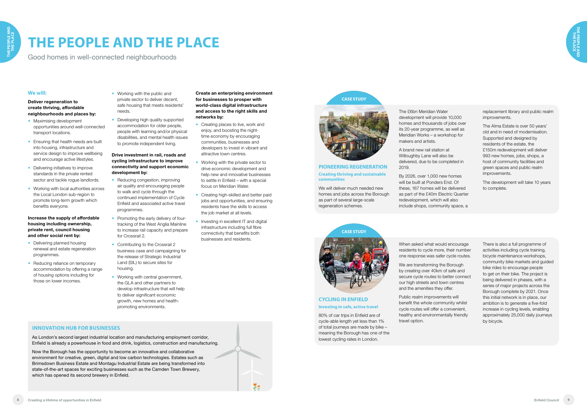### **INNOVATION HUB FOR BUSINESSES**

As London's second largest industrial location and manufacturing employment corridor, Enfield is already a powerhouse in food and drink, logistics, construction and manufacturing.

Now the Borough has the opportunity to become an innovative and collaborative environment for creative, green, digital and low carbon technologies. Estates such as Brimsdown Business Estate and Montagu Industrial Estate are being transformed into state-of-the-art spaces for exciting businesses such as the Camden Town Brewery, which has opened its second brewery in Enfield.

- **Maximising development** opportunities around well-connected transport locations.
- **•** Ensuring that health needs are built into housing, infrastructure and service design to improve wellbeing and encourage active lifestyles.
- Delivering initiatives to improve standards in the private rented sector and tackle roque landlords.
- Working with local authorities across the Local London sub-region to promote long-term growth which benefits everyone.



# **THE PEOPLE AND THE PLACE**

Good homes in well-connected neighbourhoods

### **We will:**

**Deliver regeneration to create thriving, affordable neighbourhoods and places by:**

- Delivering planned housing renewal and estate regeneration programmes.
- Reducing reliance on temporary accommodation by offering a range of housing options including for those on lower incomes.
- Working with the public and private sector to deliver decent, safe housing that meets residents' needs.
- Developing high quality supported accommodation for older people, people with learning and/or physical disabilities, and mental health issues to promote independent living.

- Reducing congestion, improving air quality and encouraging people to walk and cycle through the continued implementation of Cycle Enfield and associated active travel programmes.
- Promoting the early delivery of fourtracking of the West Anglia Mainline to increase rail capacity and prepare for Crossrail 2.
- Contributing to the Crossrail 2 business case and campaigning for the release of Strategic Industrial Land (SIL) to secure sites for housing.
- Working with central government, the GLA and other partners to develop infrastructure that will help to deliver significant economic growth, new homes and healthpromoting environments.

**Increase the supply of affordable housing including ownership, private rent, council housing and other social rent by:**

- Creating places to live, work and enjoy, and boosting the nighttime economy by encouraging communities, businesses and developers to invest in vibrant and attractive town centres.
- Working with the private sector to drive economic development and help new and innovative businesses to settle in Enfield – with a special focus on Meridian Water.
- Creating high-skilled and better paid jobs and opportunities, and ensuring residents have the skills to access the job market at all levels.
- Investing in excellent IT and digital infrastructure including full fibre connectivity that benefits both businesses and residents.

We will deliver much needed new homes and jobs across the Borough as part of several large-scale regeneration schemes.

### **Drive investment in rail, roads and cycling infrastructure to improve connectivity and support economic development by:**

### **Create an enterprising environment for businesses to prosper with world-class digital infrastructure and access to the right skills and networks by:**

### **PIONEERING REGENERATION Creating thriving and sustainable communities**

**CASE STUDY**





A brand new rail station at Willoughby Lane will also be delivered, due to be completed in 2019.

By 2026, over 1,000 new homes will be built at Ponders End. Of these, 167 homes will be delivered as part of the £40m Electric Quarter redevelopment, which will also include shops, community space, a

### **CYCLING IN ENFIELD Investing in safe, active travel**

80% of car trips in Enfield are of cycle-able length yet less than 1% of total journeys are made by bike – meaning the Borough has one of the lowest cycling rates in London.



When asked what would encourage residents to cycle more, their number one response was safer cycle routes.

We are transforming the Borough by creating over 40km of safe and secure cycle routes to better connect our high streets and town centres and the amenities they offer.

Public realm improvements will benefit the whole community whilst cycle routes will offer a convenient, healthy and environmentally friendly travel option.

replacement library and public realm improvements.

The Alma Estate is over 50 years' old and in need of modernisation. Supported and designed by residents of the estate, the £150m redevelopment will deliver 993 new homes, jobs, shops, a host of community facilities and green spaces and public realm improvements.

The development will take 10 years to complete.

There is also a full programme of activities including cycle training, bicycle maintenance workshops, community bike markets and guided bike rides to encourage people to get on their bike. The project is being delivered in phases, with a series of major projects across the Borough complete by 2021. Once this initial network is in place, our ambition is to generate a five-fold increase in cycling levels, enabling approximately 25,000 daily journeys by bicycle.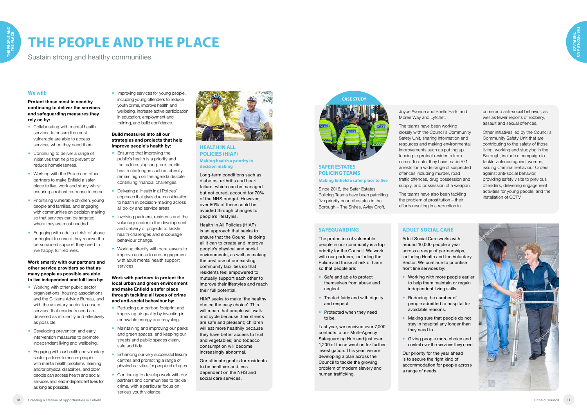# **THE PEOPLE AND THE PLACE**

Sustain strong and healthy communities

### **We will:**

**Protect those most in need by continuing to deliver the services and safeguarding measures they rely on by:**

- Collaborating with mental health services to ensure the most vulnerable are able to access services when they need them.
- Continuing to deliver a range of initiatives that help to prevent or reduce homelessness.
- Working with the Police and other partners to make Enfield a safer place to live, work and study whilst ensuring a robust response to crime.
- Prioritising vulnerable children, young people and families, and engaging with communities on decision making so that services can be targeted where they are most needed.
- Engaging with adults at risk of abuse or neglect to ensure they receive the personalised support they need to live happy, fulfilled lives.

- Working with other public sector organisations, housing associations and the Citizens Advice Bureau, and with the voluntary sector to ensure services that residents need are delivered as efficiently and effectively as possible.
- Developing prevention and early intervention measures to promote independent living and wellbeing.
- **Engaging with our health and voluntary** sector partners to ensure people with mental health problems, learning and/or physical disabilities, and older people can access health and social services and lead independent lives for as long as possible.

• Improving services for young people, including young offenders to reduce youth crime, improve health and wellbeing, increase active participation in education, employment and training, and build confidence.

**Work smartly with our partners and other service providers so that as many people as possible are able to live independent and full lives by:** 

- **Ensuring that improving the** public's health is a priority and that addressing long-term public health challenges such as obesity remain high on the agenda despite continuing financial challenges.
- Delivering a 'Health in all Policies' approach that gives due-consideration to health in decision-making across all policy and service areas.
- Involving partners, residents and the voluntary sector in the development and delivery of projects to tackle health challenges and encourage behaviour change.
- Working directly with care leavers to improve access to and engagement with adult mental health support services.

- Reducing our carbon footprint and improving air quality by investing in renewable energy and recycling.
- Maintaining and improving our parks and green spaces, and keeping our streets and public spaces clean, safe and tidy.
- Enhancing our very successful leisure centres and promoting a range of physical activities for people of all ages.
- **Continuing to develop work with our** partners and communities to tackle crime, with a particular focus on serious youth violence.



### **Build measures into all our strategies and projects that help improve people's health by:**

### **Work with partners to protect the local urban and green environment and make Enfield a safer place through tackling all types of crime and anti-social behaviour by:**

- Safe and able to protect themselves from abuse and neglect.
- Treated fairly and with dignity and respect.
- Protected when they need to be.

**SAFER ESTATES POLICING TEAMS** 

**Making Enfield a safer place to live**

Since 2016, the Safer Estates Policing Teams have been patrolling five priority council estates in the Borough – The Shires, Ayley Croft,



Joyce Avenue and Snells Park, and Moree Way and Lytchet.

The teams have been working closely with the Council's Community Safety Unit, sharing information and resources and making environmental improvements such as putting up fencing to protect residents from crime. To date, they have made 571 arrests for a wide range of suspected offences including murder, road traffic offences, drug possession and supply, and possession of a weapon.

The teams have also been tackling the problem of prostitution – their efforts resulting in a reduction in



### crime and anti-social behavior, as well as fewer reports of robbery, assault and sexual offences.

Other initiatives led by the Council's Community Safety Unit that are contributing to the safety of those living, working and studying in the Borough, include a campaign to tackle violence against women, issuing Criminal Behaviour Orders against anti-social behavior, providing safety visits to previous offenders, delivering engagement activities for young people, and the installation of CCTV.

### **HEALTH IN ALL POLICIES (HIAP) Making health a priority in decision making**

Long-term conditions such as diabetes, arthritis and heart failure, which can be managed but not cured, account for 70% of the NHS budget. However, over 50% of these could be avoided through changes to people's lifestyles.

Health in All Policies (HIAP) is an approach that seeks to ensure that the Council is doing all it can to create and improve people's physical and social environments, as well as making the best use of our existing community facilities so that residents feel empowered to mutually support each other to improve their lifestyles and reach their full potential.

HIAP seeks to make 'the healthy choice the easy choice'. This will mean that people will walk and cycle because their streets are safe and pleasant; children will eat more healthily because they have better access to fruit and vegetables; and tobacco consumption will become increasingly abnormal.

Our ultimate goal is for residents to be healthier and less dependent on the NHS and social care services.

### **SAFEGUARDING**

The protection of vulnerable people in our community is a top priority for the Council. We work with our partners, including the Police and those at risk of harm so that people are:

Last year, we received over 7,000 contacts to our Multi-Agency Safeguarding Hub and just over 1,200 of those went on for further investigation. This year, we are developing a plan across the Council to tackle the growing problem of modern slavery and human trafficking.

**ADULT SOCIAL CARE** Adult Social Care works with around 10,000 people a year across a range of partnerships, including Health and the Voluntary Sector. We continue to prioritise front line services by:

- Working with more people earlier to help them maintain or regain independent living skills.
- Reducing the number of people admitted to hospital for avoidable reasons.
- Making sure that people do not stay in hospital any longer than they need to.
- **Giving people more choice and**

control over the services they need.



Our priority for the year ahead is to secure the right kind of accommodation for people across a range of needs.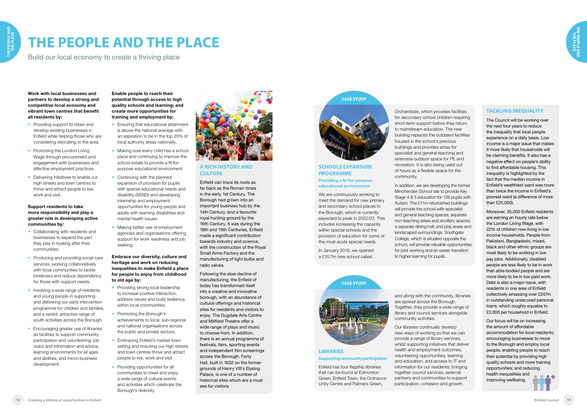

# **THE PEOPLE AND THE PLACE**

Build our local economy to create a thriving place

**Work with local businesses and partners to develop a strong and competitive local economy and vibrant town centres that benefit all residents by:**

- Providing support to retain and develop existing businesses in Enfield while helping those who are considering relocating to the area.
- Promoting the London Living Wage through procurement and engagement with businesses and effective employment practices.
- Delivering initiatives to enable our high streets and town centres to thrive and attract people to live, work and visit.

### **Support residents to take more responsibility and play a greater role in developing active communities by:**

- Collaborating with residents and businesses to expand the part they play in looking after their communities.
- Producing and providing social care services, working collaboratively with local communities to tackle loneliness and reduce dependency for those with support needs.
- Involving a wide range of residents and young people in supporting and delivering our early intervention programme for children and families, and a varied, attractive range of youth activities across the Borough.
- **Encouraging greater use of libraries** as facilities to support community participation and volunteering; job clubs and information and advice; learning environments for all ages and abilities; and micro-business development.
- **Ensuring that educational attainment** is above the national average with an aspiration to be in the top 20% of local authority areas nationally.
- Making sure every child has a school place and continuing to improve the school estate to provide a fit-forpurpose educational environment.
- Continuing with the planned expansion of provision for pupils with special educational needs and disability (SEND) and developing internship and employment opportunities for young people and adults with learning disabilities and mental health issues.
- Making better use of employment agencies and organisations offering support for work readiness and job seeking.

- Providing strong local leadership to increase positive interaction, address issues and build resilience within local communities.
- Promoting the Borough's achievements to local, sub-regional and national organisations across the public and private sectors.
- **Embracing Enfield's market town** setting and ensuring our high streets and town centres thrive and attract people to live, work and visit.
- Providing opportunities for all communities to meet and enjoy a wide range of cultural events and activities which celebrate the Borough's diversity.



**Enable people to reach their potential through access to high quality schools and learning; and create more opportunities for training and employment by:**

### **Embrace our diversity, culture and heritage and work on reducing inequalities to make Enfield a place for people to enjoy from childhood to old age by:**

### **SCHOOLS EXPANSION PROGRAMME Providing a fit-for-purpose educational environment**

We are continuously working to meet the demand for new primary and secondary school places in the Borough, which is currently expected to peak in 2022/23. This includes increasing the capacity within special schools and the provision of education for some of the most acute special needs.

In January 2018, we opened a £10.7m new school called

### **CASE STUDY**



### Orchardside, which provides facilities for secondary school children requiring short-term support before they return to mainstream education. The new building replaces the outdated facilities housed in the school's previous buildings and provides areas for specialist and general teaching and extensive outdoor space for PE and recreation. It is also being used out of hours as a flexible space for the community.

In addition, we are developing the former Minchenden School site to provide Key Stage 4 & 5 education for 126 pupils with Autism. The £11m refurbished buildings will provide the school with specialist and general teaching spaces; separate non-teaching areas and ancillary spaces; a separate dining hall; and play areas and landscaped surroundings. Southgate College, which is situated opposite the school, will provide valuable opportunities for joint working and an easier transition to higher learning for pupils.

### **A RICH HISTORY AND CULTURE**

Enfield can trace its roots as far back as the Roman times in the early 1st Century. The Borough had grown into an important business hub by the 14th Century, and a favourite royal hunting ground by the 16th Century. It was during the 18th and 19th Centuries, Enfield made a significant contribution towards industry and science, with the construction of the Royal Small Arms Factory and the manufacturing of light bulbs and radio valves.

Following the slow decline of manufacturing, the Enfield of today has transformed itself into a creative and innovative borough, with an abundance of cultural offerings and historical sites for residents and visitors to enjoy. The Dugdale Arts Centre and Millfield Theatre offer a wide range of plays and music to choose from. In addition, there is an annual programme of festivals, fairs, sporting events and independent film screenings across the Borough. Forty Hall, built in 1632 on the former grounds of Henry VIII's Elysing Palace, is one of a number of historical sites which are a must see for visitors.

### **LIBRARIES Supporting community participation**

Enfield has four flagship libraries that can be found at Edmonton Green, Enfield Town, the Ordnance Unity Centre and Palmers Green,

## **CASE STUDY**



and along with the community, libraries are spread across the Borough. Together, they provide a wide range of library and council services alongside community activities.

Our libraries continually develop new ways of working so that we can provide a range of library services, whilst supporting initiatives that deliver health and employment outcomes, volunteering opportunities, learning and education, and access to IT and information for our residents; bringing together council services, external partners and communities to support participation, cohesion and growth.

### **TACKLING INEQUALITY**

The Council will be working over the next four years to reduce the inequality that local people experience on a daily basis. Low income is a major issue that makes it more likely that households will be claiming benefits. It also has a negative effect on people's ability to find affordable housing. This inequality is highlighted by the fact that the median income in Enfield's wealthiest ward was more than twice the income in Enfield's poorest ward (a difference of more than £25,000).

Moreover, 35,000 Enfield residents are earning an hourly rate below the London Living Wage, with 22% of children now living in low income households. People from Pakistani, Bangladeshi, mixed, black and other ethnic groups are most likely to be working in low pay jobs. Additionally, disabled people are less likely to be in work than able-bodied people and are more likely to be in low paid work. Debt is also a major issue, with residents in one area of Enfield collectively amassing over £247m in outstanding unsecured personal loans, which roughly equates to £2,000 per household in Enfield.

Our focus will be on increasing the amount of affordable accommodation for local residents; encouraging businesses to move to the Borough and employ local people; enabling people to reach their potential by providing high quality schools and more training opportunities; and reducing health inequalities and improving wellbeing.

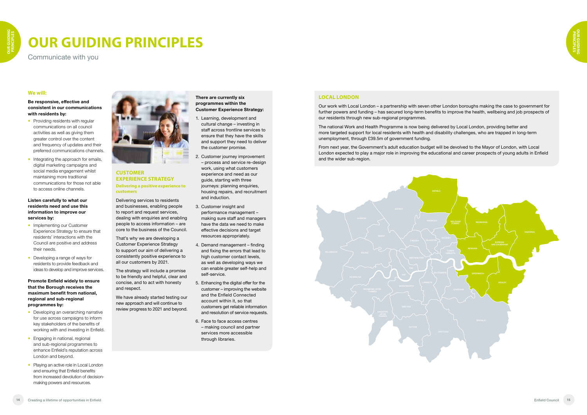

# **OUR GUIDING PRINCIPLES**

Communicate with you

### **We will:**

**Be responsive, effective and consistent in our communications with residents by:**

- Providing residents with regular communications on all council activities as well as giving them greater control over the content and frequency of updates and their preferred communications channels.
- Integrating the approach for emails, digital marketing campaigns and social media engagement whilst maintaining more traditional communications for those not able to access online channels.

- Implementing our Customer Experience Strategy to ensure that residents' interactions with the Council are positive and address their needs.
- Developing a range of ways for residents to provide feedback and ideas to develop and improve services.

### **Listen carefully to what our residents need and use this information to improve our services by:**

- Developing an overarching narrative for use across campaigns to inform key stakeholders of the benefits of working with and investing in Enfield.
- **Engaging in national, regional** and sub-regional programmes to enhance Enfield's reputation across London and beyond.
- Playing an active role in Local London and ensuring that Enfield benefits from increased devolution of decisionmaking powers and resources.



**Promote Enfield widely to ensure that the Borough receives the maximum benefit from national, regional and sub-regional programmes by:**

### **CUSTOMER EXPERIENCE STRATEGY Delivering a positive experience to customers**

Delivering services to residents and businesses, enabling people to report and request services, dealing with enquiries and enabling people to access information – are core to the business of the Council.

That's why we are developing a Customer Experience Strategy to support our aim of delivering a consistently positive experience to all our customers by 2021.

The strategy will include a promise to be friendly and helpful, clear and concise, and to act with honesty and respect.

We have already started testing our new approach and will continue to review progress to 2021 and beyond.

- **There are currently six programmes within the Customer Experience Strategy:**
- 1. Learning, development and cultural change – investing in staff across frontline services to ensure that they have the skills and support they need to deliver the customer promise.
- 2. Customer journey improvement – process and service re-design work, using what customers experience and need as our guide, starting with three journeys: planning enquiries, housing repairs, and recruitment and induction.
- 3. Customer insight and performance management – making sure staff and managers have the data we need to make effective decisions and target resources appropriately.
- 4. Demand management finding and fixing the errors that lead to high customer contact levels, as well as developing ways we can enable greater self-help and self-service.
- 5. Enhancing the digital offer for the customer – improving the website and the Enfield Connected account within it, so that customers get reliable information and resolution of service requests.
- 6. Face to face access centres – making council and partner services more accessible through libraries.

### **LOCAL LONDON**

Our work with Local London – a partnership with seven other London boroughs making the case to government for further powers and funding – has secured long-term benefits to improve the health, wellbeing and job prospects of our residents through new sub-regional programmes.

The national Work and Health Programme is now being delivered by Local London, providing better and more targeted support for local residents with health and disability challenges, who are trapped in long-term unemployment, through £39.5m of government funding.

From next year, the Government's adult education budget will be devolved to the Mayor of London, with Local London expected to play a major role in improving the educational and career prospects of young adults in Enfield and the wider sub-region.

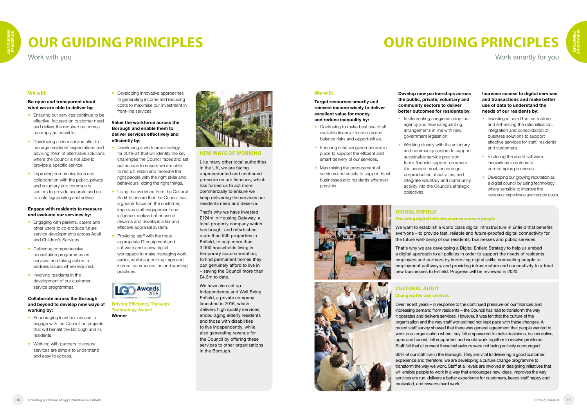# **OUR GUIDING PRINCIPLES**

Work with you

### **We will:**

**Be open and transparent about what we are able to deliver by:** 

- **Ensuring our services continue to be** effective, focused on customer need and deliver the required outcomes as simply as possible.
- Developing a clear service offer to manage residents' expectations and advising them of alternative solutions where the Council is not able to provide a specific service.
- Improving communications and collaboration with the public, private and voluntary and community sectors to provide accurate and upto-date signposting and advice.

- Engaging with parents, carers and other users to co-produce future service developments across Adult and Children's Services.
- Delivering comprehensive consultation programmes on services and taking action to address issues where required.
- Involving residents in the development of our customer service programmes.

- **Encouraging local businesses to** engage with the Council on projects that will benefit the Borough and its residents.
- Working with partners to ensure services are simple to understand and easy to access.

#### **Engage with residents to measure and evaluate our services by:**

**•** Developing innovative approaches to generating income and reducing costs to maximise our investment in front-line services.

### **Collaborate across the Borough and beyond to develop new ways of working by:**

- Developing a workforce strategy for 2018-21 that will identify the key challenges the Council faces and set out actions to ensure we are able to recruit, retain and motivate the right people with the right skills and behaviours, doing the right things.
- Using the evidence from the Cultural Audit to ensure that the Council has a greater focus on the customer, improves staff engagement and influence, makes better use of rewards and develops a fair and effective appraisal system.
- Providing staff with the most appropriate IT equipment and software and a new digital workspace to make managing work easier, whilst supporting improved internal communication and working practices.



- Continuing to make best use of all available financial resources and balance risks and opportunities.
- **Ensuring effective governance is in** place to support the efficient and smart delivery of our services.
- Maximising the procurement of services and assets to support local businesses and residents wherever possible.





#### **Value the workforce across the Borough and enable them to deliver services effectively and efficiently by:**

- Implementing a regional adoption agency and new safeguarding arrangements in line with new government legislation.
- Working closely with the voluntary and community sectors to support sustainable service provision, focus financial support on where it is needed most, encourage co-production of activities, and integrate voluntary and community activity into the Council's strategic objectives.
- Investing in core IT infrastructure and enhancing the rationalisation, integration and consolidation of business solutions to support effective services for staff, residents and customers.
- Exploring the use of software innovations to automate non-complex processes.
- Developing our growing reputation as a digital council by using technology where sensible to improve the customer experience and reduce costs.

# **OUR GUIDING PRINCIPLES**

Work smartly for you

### **We will:**

**Target resources smartly and reinvest income wisely to deliver excellent value for money and reduce inequality by:**

**Develop new partnerships across the public, private, voluntary and community sectors to deliver better outcomes for residents by:**

#### **Increase access to digital services and transactions and make better use of data to understand the needs of our residents by:**





**NEW WAYS OF WORKING**

Like many other local authorities in the UK, we are facing unprecedented and continued pressure on our finances, which has forced us to act more commercially to ensure we keep delivering the services our residents need and deserve.

That's why we have invested £124m in Housing Gateway, a local property company which has bought and refurbished more than 500 properties in Enfield, to help more than 3,000 households living in temporary accommodation, to find permanent homes they can genuinely afford to live in – saving the Council more than £4.3m to date.

We have also set up Independence and Well Being Enfield, a private company launched in 2016, which delivers high quality services, encouraging elderly residents and those with disabilities to live independently, while also generating revenue for the Council by offering these services to other organisations in the Borough.

### **CULTURAL AUDIT Changing the way we work**

Over recent years – in response to the continued pressure on our finances and increasing demand from residents – the Council has had to transform the way it operates and delivers services. However, it was felt that the culture of the organisation and the way staff worked had not kept pace with these changes. A recent staff survey showed that there was general agreement that people wanted to work in an organisation where they felt empowered to make decisions, be innovative, open and honest, felt supported, and would work together to resolve problems. Staff felt that at present these behaviours were not being actively encouraged.

60% of our staff live in the Borough. They are vital to delivering a good customer experience and therefore, we are developing a culture change programme to transform the way we work. Staff at all levels are involved in designing initiatives that will enable people to work in a way that encourages new ideas, improves the way services are run, delivers a better experience for customers, keeps staff happy and motivated, and rewards hard work.

**Driving Efficiency Through Technology Award Winner**

### **DIGITAL ENFIELD Providing digital infrastructure to connect people**

We want to establish a world class digital infrastructure in Enfield that benefits everyone – to provide fast, reliable and future-proofed digital connectivity for the future well-being of our residents, businesses and public services.

That's why we are developing a Digital Enfield Strategy to help us embed a digital approach to all policies in order to support the needs of residents, employers and partners by improving digital skills; connecting people to employment pathways; and providing infrastructure and connectivity to attract new businesses to Enfield. Progress will be reviewed in 2020.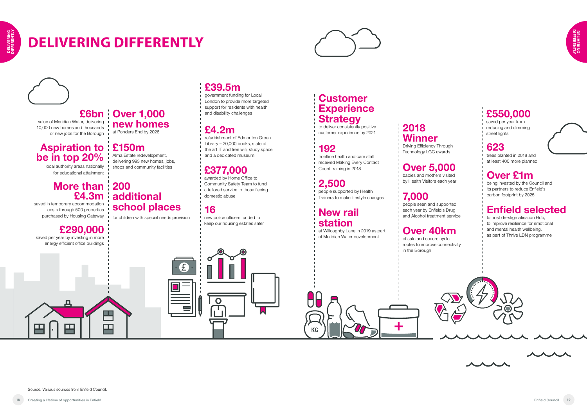円

# **DELIVERING DIFFERENTLY**







### **Over 1,000 £6bn new homes**

at Ponders End by 2026

## **16**

 $\overline{O}$ 

 $\mathbf{f}$ 

new police officers funded to keep our housing estates safer

## **192**

frontline health and care staff received Making Every Contact Count training in 2018

## **Customer Experience Strategy**

to deliver consistently positive customer experience by 2021

## **2,500**

people supported by Health Trainers to make lifestyle changes

## **New rail station**

 $\Box$ 

**KG** 

at Willoughby Lane in 2019 as part of Meridian Water development

**Over 40km** of safe and secure cycle routes to improve connectivity in the Borough

### **623**

trees planted in 2018 and at least 400 more planned

## **Over £1m**

being invested by the Council and its partners to reduce Enfield's carbon footprint by 2025

## **Enfield selected**

to host de-stigmatisation Hub, to improve resilience for emotional and mental health wellbeing, as part of Thrive LDN programme



 $\overline{\phantom{a}}$ 

 $\lambda$ 

**7,000** people seen and supported

## **More than 1200 £4.3m**

each year by Enfield's Drug and Alcohol treatment service

### **Over 5,000** babies and mothers visited by Health Visitors each year

## **2018 Winner**

Driving Efficiency Through Technology LGC awards

## **£4.2m**

refurbishment of Edmonton Green Library – 20,000 books, state of the art IT and free wifi, study space and a dedicated museum

## **£39.5m**

government funding for Local London to provide more targeted support for residents with health and disability challenges

## **£377,000**

awarded by Home Office to Community Safety Team to fund a tailored service to those fleeing domestic abuse

Alma Estate redevelopment, delivering 993 new homes, jobs, shops and community facilities

## **additional school places**

## **£150m Aspiration to be in top 20%**

for children with special needs provision

## **£550,000**

saved per year from reducing and dimming street lights

local authority areas nationally for educational attainment

value of Meridian Water, delivering 10,000 new homes and thousands of new jobs for the Borough

 saved in temporary accommodation costs through 500 properties purchased by Housing Gateway

## **£290,000**

뜨

囯

saved per year by investing in more energy efficient office buildings

OП